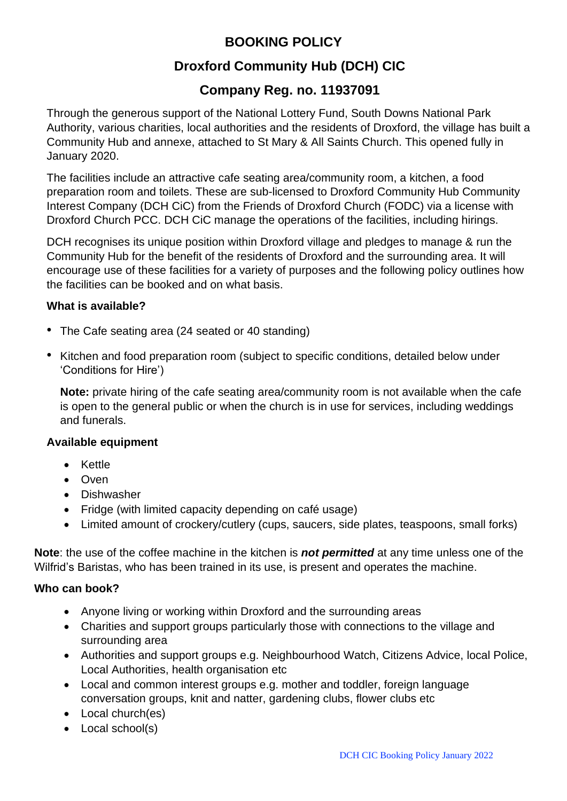# **BOOKING POLICY**

# **Droxford Community Hub (DCH) CIC**

# **Company Reg. no. 11937091**

Through the generous support of the National Lottery Fund, South Downs National Park Authority, various charities, local authorities and the residents of Droxford, the village has built a Community Hub and annexe, attached to St Mary & All Saints Church. This opened fully in January 2020.

The facilities include an attractive cafe seating area/community room, a kitchen, a food preparation room and toilets. These are sub-licensed to Droxford Community Hub Community Interest Company (DCH CiC) from the Friends of Droxford Church (FODC) via a license with Droxford Church PCC. DCH CiC manage the operations of the facilities, including hirings.

DCH recognises its unique position within Droxford village and pledges to manage & run the Community Hub for the benefit of the residents of Droxford and the surrounding area. It will encourage use of these facilities for a variety of purposes and the following policy outlines how the facilities can be booked and on what basis.

## **What is available?**

- The Cafe seating area (24 seated or 40 standing)
- Kitchen and food preparation room (subject to specific conditions, detailed below under 'Conditions for Hire')

**Note:** private hiring of the cafe seating area/community room is not available when the cafe is open to the general public or when the church is in use for services, including weddings and funerals.

#### **Available equipment**

- Kettle
- Oven
- Dishwasher
- Fridge (with limited capacity depending on café usage)
- Limited amount of crockery/cutlery (cups, saucers, side plates, teaspoons, small forks)

**Note**: the use of the coffee machine in the kitchen is *not permitted* at any time unless one of the Wilfrid's Baristas, who has been trained in its use, is present and operates the machine.

#### **Who can book?**

- Anyone living or working within Droxford and the surrounding areas
- Charities and support groups particularly those with connections to the village and surrounding area
- Authorities and support groups e.g. Neighbourhood Watch, Citizens Advice, local Police, Local Authorities, health organisation etc
- Local and common interest groups e.g. mother and toddler, foreign language conversation groups, knit and natter, gardening clubs, flower clubs etc
- Local church(es)
- Local school(s)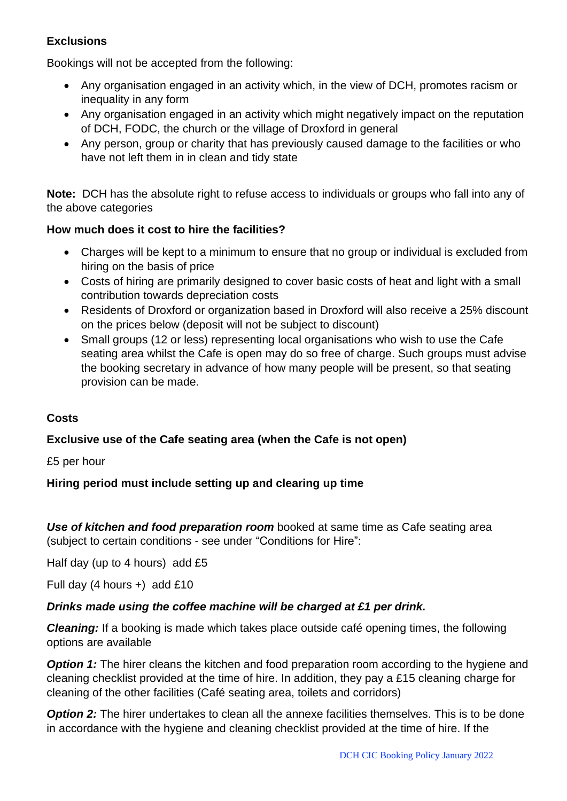## **Exclusions**

Bookings will not be accepted from the following:

- Any organisation engaged in an activity which, in the view of DCH, promotes racism or inequality in any form
- Any organisation engaged in an activity which might negatively impact on the reputation of DCH, FODC, the church or the village of Droxford in general
- Any person, group or charity that has previously caused damage to the facilities or who have not left them in in clean and tidy state

**Note:** DCH has the absolute right to refuse access to individuals or groups who fall into any of the above categories

## **How much does it cost to hire the facilities?**

- Charges will be kept to a minimum to ensure that no group or individual is excluded from hiring on the basis of price
- Costs of hiring are primarily designed to cover basic costs of heat and light with a small contribution towards depreciation costs
- Residents of Droxford or organization based in Droxford will also receive a 25% discount on the prices below (deposit will not be subject to discount)
- Small groups (12 or less) representing local organisations who wish to use the Cafe seating area whilst the Cafe is open may do so free of charge. Such groups must advise the booking secretary in advance of how many people will be present, so that seating provision can be made.

## **Costs**

## **Exclusive use of the Cafe seating area (when the Cafe is not open)**

#### £5 per hour

#### **Hiring period must include setting up and clearing up time**

*Use of kitchen and food preparation room* booked at same time as Cafe seating area (subject to certain conditions - see under "Conditions for Hire":

Half day (up to 4 hours) add £5

Full day (4 hours +) add £10

#### *Drinks made using the coffee machine will be charged at £1 per drink.*

*Cleaning:* If a booking is made which takes place outside café opening times, the following options are available

**Option** 1: The hirer cleans the kitchen and food preparation room according to the hygiene and cleaning checklist provided at the time of hire. In addition, they pay a £15 cleaning charge for cleaning of the other facilities (Café seating area, toilets and corridors)

**Option 2:** The hirer undertakes to clean all the annexe facilities themselves. This is to be done in accordance with the hygiene and cleaning checklist provided at the time of hire. If the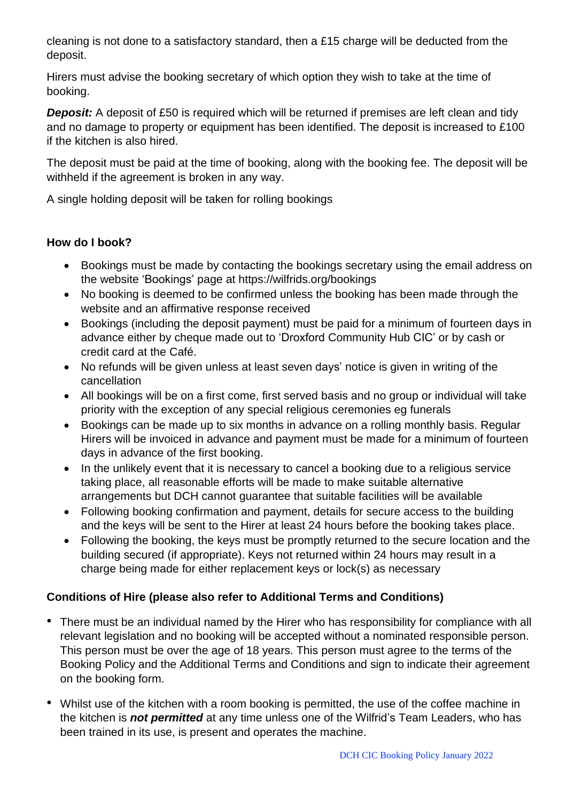cleaning is not done to a satisfactory standard, then a £15 charge will be deducted from the deposit.

Hirers must advise the booking secretary of which option they wish to take at the time of booking.

**Deposit:** A deposit of £50 is required which will be returned if premises are left clean and tidy and no damage to property or equipment has been identified. The deposit is increased to £100 if the kitchen is also hired.

The deposit must be paid at the time of booking, along with the booking fee. The deposit will be withheld if the agreement is broken in any way.

A single holding deposit will be taken for rolling bookings

## **How do I book?**

- Bookings must be made by contacting the bookings secretary using the email address on the website 'Bookings' page at <https://wilfrids.org/bookings>
- No booking is deemed to be confirmed unless the booking has been made through the website and an affirmative response received
- Bookings (including the deposit payment) must be paid for a minimum of fourteen days in advance either by cheque made out to 'Droxford Community Hub CIC' or by cash or credit card at the Café.
- No refunds will be given unless at least seven days' notice is given in writing of the cancellation
- All bookings will be on a first come, first served basis and no group or individual will take priority with the exception of any special religious ceremonies eg funerals
- Bookings can be made up to six months in advance on a rolling monthly basis. Regular Hirers will be invoiced in advance and payment must be made for a minimum of fourteen days in advance of the first booking.
- In the unlikely event that it is necessary to cancel a booking due to a religious service taking place, all reasonable efforts will be made to make suitable alternative arrangements but DCH cannot guarantee that suitable facilities will be available
- Following booking confirmation and payment, details for secure access to the building and the keys will be sent to the Hirer at least 24 hours before the booking takes place.
- Following the booking, the keys must be promptly returned to the secure location and the building secured (if appropriate). Keys not returned within 24 hours may result in a charge being made for either replacement keys or lock(s) as necessary

## **Conditions of Hire (please also refer to Additional Terms and Conditions)**

- There must be an individual named by the Hirer who has responsibility for compliance with all relevant legislation and no booking will be accepted without a nominated responsible person. This person must be over the age of 18 years. This person must agree to the terms of the Booking Policy and the Additional Terms and Conditions and sign to indicate their agreement on the booking form.
- Whilst use of the kitchen with a room booking is permitted, the use of the coffee machine in the kitchen is *not permitted* at any time unless one of the Wilfrid's Team Leaders, who has been trained in its use, is present and operates the machine.